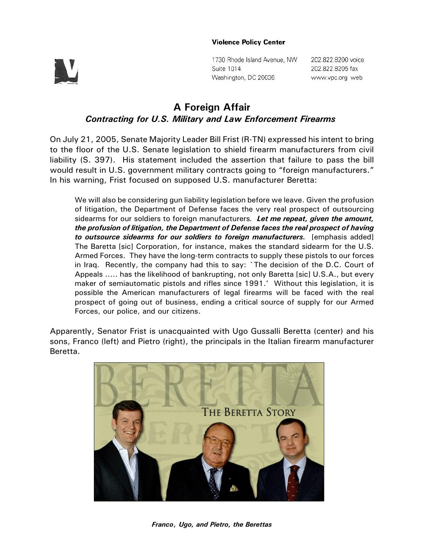## **Violence Policy Center**



1730 Rhode Island Avenue, NW Suite 1014 Washington, DC 20036

202.822.8200 voice 202.822.8205 fax www.vpc.org web

## **A Foreign Affair** *Contracting for U.S. Military and Law Enforcement Firearms*

On July 21, 2005, Senate Majority Leader Bill Frist (R-TN) expressed his intent to bring to the floor of the U.S. Senate legislation to shield firearm manufacturers from civil liability (S. 397). His statement included the assertion that failure to pass the bill would result in U.S. government military contracts going to "foreign manufacturers." In his warning, Frist focused on supposed U.S. manufacturer Beretta:

We will also be considering gun liability legislation before we leave. Given the profusion of litigation, the Department of Defense faces the very real prospect of outsourcing sidearms for our soldiers to foreign manufacturers*. Let me repeat, given the amount, the profusion of litigation, the Department of Defense faces the real prospect of having to outsource sidearms for our soldiers to foreign manufacturers.* [emphasis added] The Baretta [sic] Corporation, for instance, makes the standard sidearm for the U.S. Armed Forces. They have the long-term contracts to supply these pistols to our forces in Iraq. Recently, the company had this to say: `The decision of the D.C. Court of Appeals ..... has the likelihood of bankrupting, not only Baretta [sic] U.S.A., but every maker of semiautomatic pistols and rifles since 1991.' Without this legislation, it is possible the American manufacturers of legal firearms will be faced with the real prospect of going out of business, ending a critical source of supply for our Armed Forces, our police, and our citizens.

Apparently, Senator Frist is unacquainted with Ugo Gussalli Beretta (center) and his sons, Franco (left) and Pietro (right), the principals in the Italian firearm manufacturer Beretta.

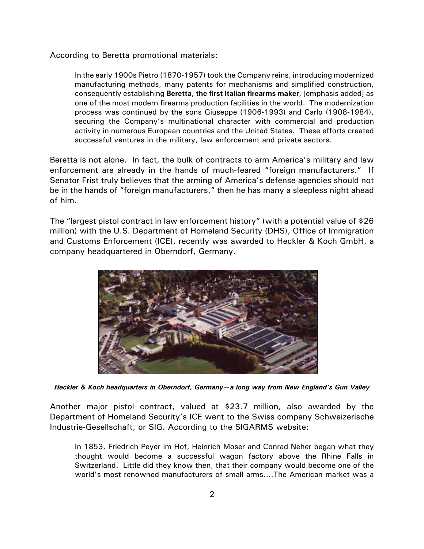According to Beretta promotional materials:

In the early 1900s Pietro (1870-1957) took the Company reins, introducing modernized manufacturing methods, many patents for mechanisms and simplified construction, consequently establishing **Beretta, the first Italian firearms maker**, [emphasis added] as one of the most modern firearms production facilities in the world. The modernization process was continued by the sons Giuseppe (1906-1993) and Carlo (1908-1984), securing the Company's multinational character with commercial and production activity in numerous European countries and the United States. These efforts created successful ventures in the military, law enforcement and private sectors.

Beretta is not alone. In fact, the bulk of contracts to arm America's military and law enforcement are already in the hands of much-feared "foreign manufacturers." If Senator Frist truly believes that the arming of America's defense agencies should not be in the hands of "foreign manufacturers," then he has many a sleepless night ahead of him.

The "largest pistol contract in law enforcement history" (with a potential value of \$26 million) with the U.S. Department of Homeland Security (DHS), Office of Immigration and Customs Enforcement (ICE), recently was awarded to Heckler & Koch GmbH, a company headquartered in Oberndorf, Germany.



*Heckler & Koch headquarters in Oberndorf, Germany—a long way from New England's Gun Valley*

Another major pistol contract, valued at \$23.7 million, also awarded by the Department of Homeland Security's ICE went to the Swiss company Schweizerische Industrie-Gesellschaft, or SIG. According to the SIGARMS website:

In 1853, Friedrich Peyer im Hof, Heinrich Moser and Conrad Neher began what they thought would become a successful wagon factory above the Rhine Falls in Switzerland. Little did they know then, that their company would become one of the world's most renowned manufacturers of small arms....The American market was a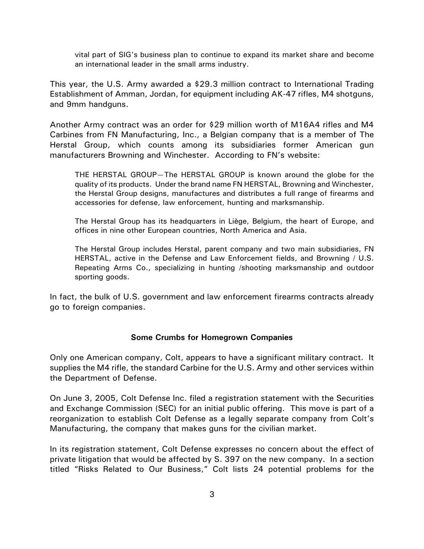vital part of SIG's business plan to continue to expand its market share and become an international leader in the small arms industry.

This year, the U.S. Army awarded a \$29.3 million contract to International Trading Establishment of Amman, Jordan, for equipment including AK-47 rifles, M4 shotguns, and 9mm handguns.

Another Army contract was an order for \$29 million worth of M16A4 rifles and M4 Carbines from FN Manufacturing, Inc., a Belgian company that is a member of The Herstal Group, which counts among its subsidiaries former American gun manufacturers Browning and Winchester. According to FN's website:

THE HERSTAL GROUP—The HERSTAL GROUP is known around the globe for the quality of its products. Under the brand name FN HERSTAL, Browning and Winchester, the Herstal Group designs, manufactures and distributes a full range of firearms and accessories for defense, law enforcement, hunting and marksmanship.

The Herstal Group has its headquarters in Liège, Belgium, the heart of Europe, and offices in nine other European countries, North America and Asia.

The Herstal Group includes Herstal, parent company and two main subsidiaries, FN HERSTAL, active in the Defense and Law Enforcement fields, and Browning / U.S. Repeating Arms Co., specializing in hunting /shooting marksmanship and outdoor sporting goods.

In fact, the bulk of U.S. government and law enforcement firearms contracts already go to foreign companies.

## **Some Crumbs for Homegrown Companies**

Only one American company, Colt, appears to have a significant military contract. It supplies the M4 rifle, the standard Carbine for the U.S. Army and other services within the Department of Defense.

On June 3, 2005, Colt Defense Inc. filed a registration statement with the Securities and Exchange Commission (SEC) for an initial public offering. This move is part of a reorganization to establish Colt Defense as a legally separate company from Colt's Manufacturing, the company that makes guns for the civilian market.

In its registration statement, Colt Defense expresses no concern about the effect of private litigation that would be affected by S. 397 on the new company. In a section titled "Risks Related to Our Business," Colt lists 24 potential problems for the